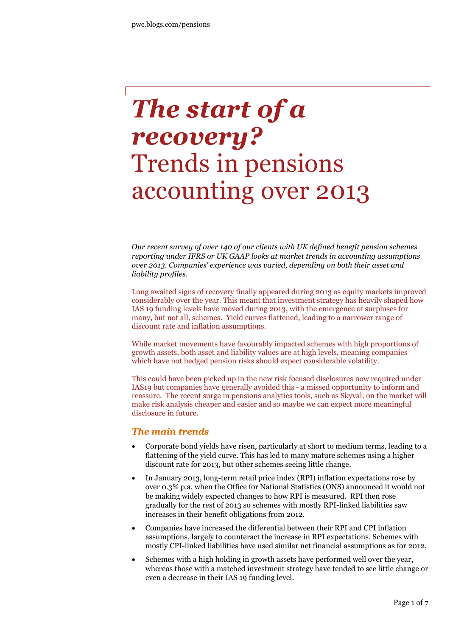# *The start of a recovery?*  Trends in pensions accounting over 2013

*Our recent survey of over 140 of our clients with UK defined benefit pension schemes reporting under IFRS or UK GAAP looks at market trends in accounting assumptions over 2013. Companies' experience was varied, depending on both their asset and liability profiles.*

Long awaited signs of recovery finally appeared during 2013 as equity markets improved considerably over the year. This meant that investment strategy has heavily shaped how IAS 19 funding levels have moved during 2013, with the emergence of surpluses for many, but not all, schemes. Yield curves flattened, leading to a narrower range of discount rate and inflation assumptions.

While market movements have favourably impacted schemes with high proportions of growth assets, both asset and liability values are at high levels, meaning companies which have not hedged pension risks should expect considerable volatility.

This could have been picked up in the new risk focused disclosures now required under IAS19 but companies have generally avoided this - a missed opportunity to inform and reassure. The recent surge in pensions analytics tools, such as Skyval, on the market will make risk analysis cheaper and easier and so maybe we can expect more meaningful disclosure in future.

# *The main trends*

- Corporate bond yields have risen, particularly at short to medium terms, leading to a flattening of the yield curve. This has led to many mature schemes using a higher discount rate for 2013, but other schemes seeing little change.
- In January 2013, long-term retail price index (RPI) inflation expectations rose by over 0.3% p.a. when the Office for National Statistics (ONS) announced it would not be making widely expected changes to how RPI is measured. RPI then rose gradually for the rest of 2013 so schemes with mostly RPI-linked liabilities saw increases in their benefit obligations from 2012.
- Companies have increased the differential between their RPI and CPI inflation assumptions, largely to counteract the increase in RPI expectations. Schemes with mostly CPI-linked liabilities have used similar net financial assumptions as for 2012.
- Schemes with a high holding in growth assets have performed well over the year, whereas those with a matched investment strategy have tended to see little change or even a decrease in their IAS 19 funding level.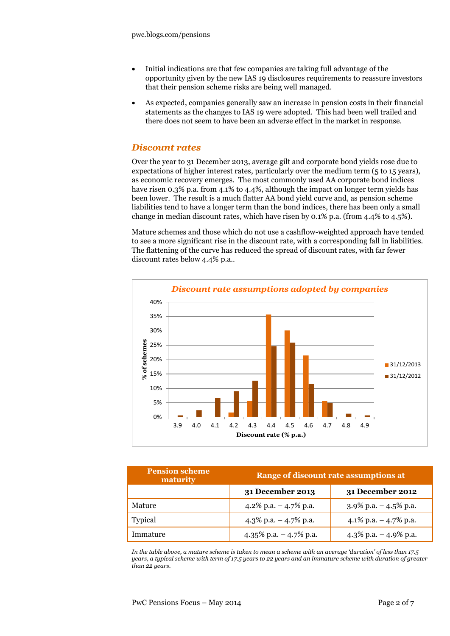- Initial indications are that few companies are taking full advantage of the opportunity given by the new IAS 19 disclosures requirements to reassure investors that their pension scheme risks are being well managed.
- As expected, companies generally saw an increase in pension costs in their financial statements as the changes to IAS 19 were adopted. This had been well trailed and there does not seem to have been an adverse effect in the market in response.

#### *Discount rates*

Over the year to 31 December 2013, average gilt and corporate bond yields rose due to expectations of higher interest rates, particularly over the medium term (5 to 15 years), as economic recovery emerges. The most commonly used AA corporate bond indices have risen 0.3% p.a. from 4.1% to 4.4%, although the impact on longer term yields has been lower. The result is a much flatter AA bond yield curve and, as pension scheme liabilities tend to have a longer term than the bond indices, there has been only a small change in median discount rates, which have risen by 0.1% p.a. (from 4.4% to 4.5%).

Mature schemes and those which do not use a cashflow-weighted approach have tended to see a more significant rise in the discount rate, with a corresponding fall in liabilities. The flattening of the curve has reduced the spread of discount rates, with far fewer discount rates below 4.4% p.a..



| <b>Pension scheme</b><br>maturity | Range of discount rate assumptions at |                            |  |
|-----------------------------------|---------------------------------------|----------------------------|--|
|                                   | 31 December 2013                      | 31 December 2012           |  |
| Mature                            | 4.2% p.a. $-$ 4.7% p.a.               | $3.9\%$ p.a. $-4.5\%$ p.a. |  |
| Typical                           | 4.3% p.a. $-$ 4.7% p.a.               | 4.1% p.a. $-$ 4.7% p.a.    |  |
| Immature                          | 4.35% p.a. $-$ 4.7% p.a.              | 4.3% p.a. $-$ 4.9% p.a.    |  |

*In the table above, a mature scheme is taken to mean a scheme with an average 'duration' of less than 17.5 years, a typical scheme with term of 17.5 years to 22 years and an immature scheme with duration of greater than 22 years.*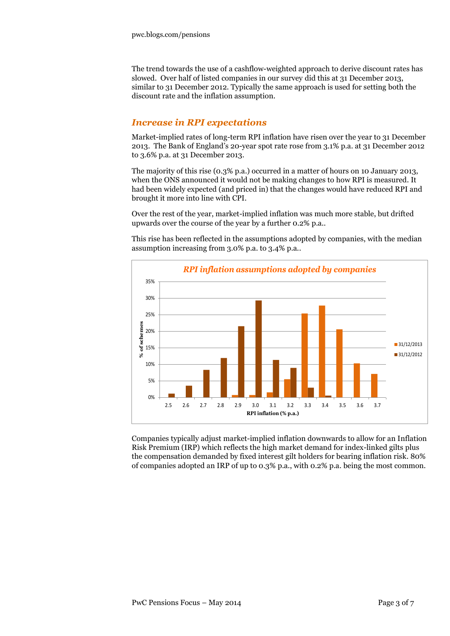The trend towards the use of a cashflow-weighted approach to derive discount rates has slowed. Over half of listed companies in our survey did this at 31 December 2013, similar to 31 December 2012. Typically the same approach is used for setting both the discount rate and the inflation assumption.

### *Increase in RPI expectations*

Market-implied rates of long-term RPI inflation have risen over the year to 31 December 2013. The Bank of England's 20-year spot rate rose from 3.1% p.a. at 31 December 2012 to 3.6% p.a. at 31 December 2013.

The majority of this rise (0.3% p.a.) occurred in a matter of hours on 10 January 2013, when the ONS announced it would not be making changes to how RPI is measured. It had been widely expected (and priced in) that the changes would have reduced RPI and brought it more into line with CPI.

Over the rest of the year, market-implied inflation was much more stable, but drifted upwards over the course of the year by a further 0.2% p.a..

This rise has been reflected in the assumptions adopted by companies, with the median assumption increasing from 3.0% p.a. to 3.4% p.a..



Companies typically adjust market-implied inflation downwards to allow for an Inflation Risk Premium (IRP) which reflects the high market demand for index-linked gilts plus the compensation demanded by fixed interest gilt holders for bearing inflation risk. 80% of companies adopted an IRP of up to 0.3% p.a., with 0.2% p.a. being the most common.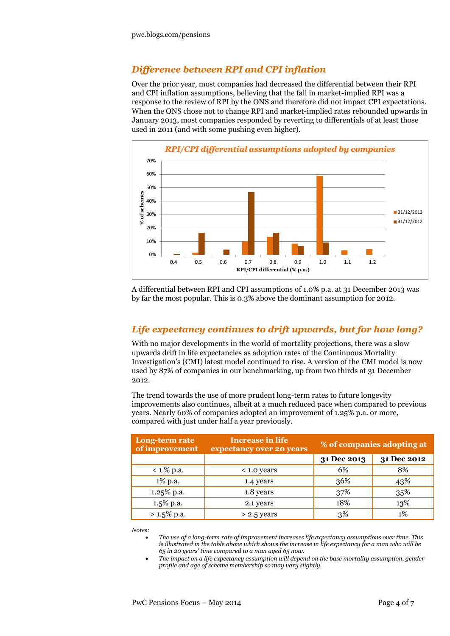## *Difference between RPI and CPI inflation*

Over the prior year, most companies had decreased the differential between their RPI and CPI inflation assumptions, believing that the fall in market-implied RPI was a response to the review of RPI by the ONS and therefore did not impact CPI expectations. When the ONS chose not to change RPI and market-implied rates rebounded upwards in January 2013, most companies responded by reverting to differentials of at least those used in 2011 (and with some pushing even higher).



A differential between RPI and CPI assumptions of 1.0% p.a. at 31 December 2013 was by far the most popular. This is 0.3% above the dominant assumption for 2012.

# *Life expectancy continues to drift upwards, but for how long?*

With no major developments in the world of mortality projections, there was a slow upwards drift in life expectancies as adoption rates of the Continuous Mortality Investigation's (CMI) latest model continued to rise. A version of the CMI model is now used by 87% of companies in our benchmarking, up from two thirds at 31 December 2012.

The trend towards the use of more prudent long-term rates to future longevity improvements also continues, albeit at a much reduced pace when compared to previous years. Nearly 60% of companies adopted an improvement of 1.25% p.a. or more, compared with just under half a year previously.

| Long-term rate<br>of improvement | <b>Increase in life</b><br>expectancy over 20 years | % of companies adopting at |             |
|----------------------------------|-----------------------------------------------------|----------------------------|-------------|
|                                  |                                                     | 31 Dec 2013                | 31 Dec 2012 |
| $< 1\%$ p.a.                     | $<$ 1.0 years                                       | 6%                         | 8%          |
| 1% p.a.                          | 1.4 years                                           | 36%                        | 43%         |
| 1.25% p.a.                       | 1.8 years                                           | 37%                        | 35%         |
| 1.5% p.a.                        | 2.1 years                                           | 18%                        | 13%         |
| $>1.5\%$ p.a.                    | $> 2.5$ years                                       | 3%                         | $1\%$       |

*Notes:* 

- *The use of a long-term rate of improvement increases life expectancy assumptions over time. This*  is illustrated in the table above which shows the increase in life expectancy for a man who will be *65 in 20 years' time compared to a man aged 65 now.*
- *The impact on a life expectancy assumption will depend on the base mortality assumption, gender profile and age of scheme membership so may vary slightly.*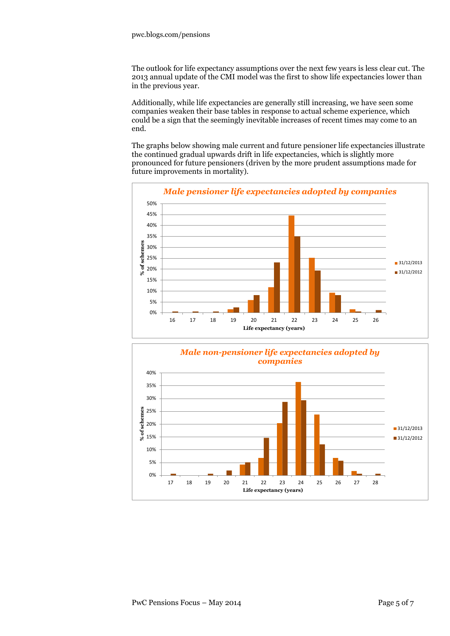The outlook for life expectancy assumptions over the next few years is less clear cut. The 2013 annual update of the CMI model was the first to show life expectancies lower than in the previous year.

Additionally, while life expectancies are generally still increasing, we have seen some companies weaken their base tables in response to actual scheme experience, which could be a sign that the seemingly inevitable increases of recent times may come to an end.

The graphs below showing male current and future pensioner life expectancies illustrate the continued gradual upwards drift in life expectancies, which is slightly more pronounced for future pensioners (driven by the more prudent assumptions made for future improvements in mortality).



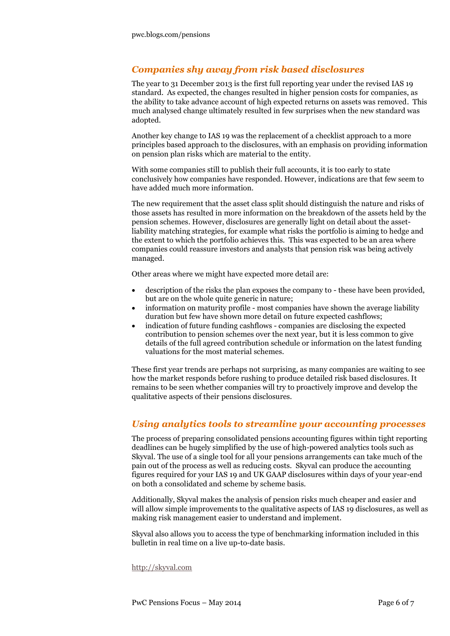# *Companies shy away from risk based disclosures*

The year to 31 December 2013 is the first full reporting year under the revised IAS 19 standard. As expected, the changes resulted in higher pension costs for companies, as the ability to take advance account of high expected returns on assets was removed. This much analysed change ultimately resulted in few surprises when the new standard was adopted.

Another key change to IAS 19 was the replacement of a checklist approach to a more principles based approach to the disclosures, with an emphasis on providing information on pension plan risks which are material to the entity.

With some companies still to publish their full accounts, it is too early to state conclusively how companies have responded. However, indications are that few seem to have added much more information.

The new requirement that the asset class split should distinguish the nature and risks of those assets has resulted in more information on the breakdown of the assets held by the pension schemes. However, disclosures are generally light on detail about the assetliability matching strategies, for example what risks the portfolio is aiming to hedge and the extent to which the portfolio achieves this. This was expected to be an area where companies could reassure investors and analysts that pension risk was being actively managed.

Other areas where we might have expected more detail are:

- description of the risks the plan exposes the company to these have been provided, but are on the whole quite generic in nature;
- information on maturity profile most companies have shown the average liability duration but few have shown more detail on future expected cashflows;
- indication of future funding cashflows companies are disclosing the expected contribution to pension schemes over the next year, but it is less common to give details of the full agreed contribution schedule or information on the latest funding valuations for the most material schemes.

These first year trends are perhaps not surprising, as many companies are waiting to see how the market responds before rushing to produce detailed risk based disclosures. It remains to be seen whether companies will try to proactively improve and develop the qualitative aspects of their pensions disclosures.

### *Using analytics tools to streamline your accounting processes*

The process of preparing consolidated pensions accounting figures within tight reporting deadlines can be hugely simplified by the use of high-powered analytics tools such as Skyval. The use of a single tool for all your pensions arrangements can take much of the pain out of the process as well as reducing costs. Skyval can produce the accounting figures required for your IAS 19 and UK GAAP disclosures within days of your year-end on both a consolidated and scheme by scheme basis.

Additionally, Skyval makes the analysis of pension risks much cheaper and easier and will allow simple improvements to the qualitative aspects of IAS 19 disclosures, as well as making risk management easier to understand and implement.

Skyval also allows you to access the type of benchmarking information included in this bulletin in real time on a live up-to-date basis.

#### [http://skyval.com](http://skyval.com/)